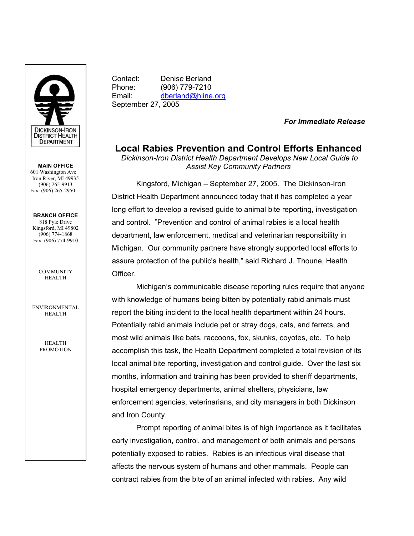

**MAIN OFFICE**  601 Washington Ave Iron River, MI 49935 (906) 265-9913 Fax: (906) 265-2950

**BRANCH OFFICE**  818 Pyle Drive Kingsford, MI 49802 (906) 774-1868 Fax: (906) 774-9910

> **COMMUNITY** HEALTH

ENVIRONMENTAL HEALTH

> HEALTH PROMOTION

Contact: Denise Berland Phone: (906) 779-7210 Email: dberland@hline.org September 27, 2005

*For Immediate Release* 

**Local Rabies Prevention and Control Efforts Enhanced** 

 *Dickinson-Iron District Health Department Develops New Local Guide to Assist Key Community Partners* 

 Kingsford, Michigan – September 27, 2005. The Dickinson-Iron District Health Department announced today that it has completed a year long effort to develop a revised guide to animal bite reporting, investigation and control. "Prevention and control of animal rabies is a local health department, law enforcement, medical and veterinarian responsibility in Michigan. Our community partners have strongly supported local efforts to assure protection of the public's health," said Richard J. Thoune, Health **Officer** 

 Michigan's communicable disease reporting rules require that anyone with knowledge of humans being bitten by potentially rabid animals must report the biting incident to the local health department within 24 hours. Potentially rabid animals include pet or stray dogs, cats, and ferrets, and most wild animals like bats, raccoons, fox, skunks, coyotes, etc. To help accomplish this task, the Health Department completed a total revision of its local animal bite reporting, investigation and control guide. Over the last six months, information and training has been provided to sheriff departments, hospital emergency departments, animal shelters, physicians, law enforcement agencies, veterinarians, and city managers in both Dickinson and Iron County.

 Prompt reporting of animal bites is of high importance as it facilitates early investigation, control, and management of both animals and persons potentially exposed to rabies. Rabies is an infectious viral disease that affects the nervous system of humans and other mammals. People can contract rabies from the bite of an animal infected with rabies. Any wild